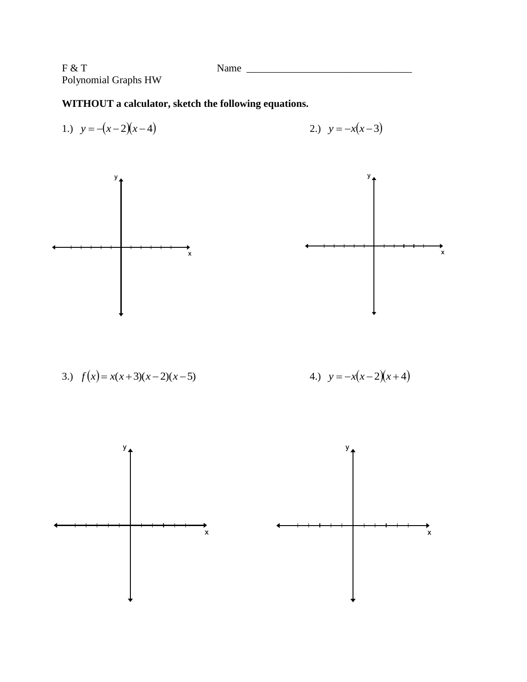$F & T$  Name  $\frac{1}{\sqrt{2\pi}}$  Name  $\frac{1}{\sqrt{2\pi}}$ Polynomial Graphs HW

**WITHOUT a calculator, sketch the following equations.**

1.) 
$$
y = -(x-2)(x-4)
$$
  
2.)  $y = -x(x-3)$ 



3.) 
$$
f(x) = x(x+3)(x-2)(x-5)
$$
  
4.)  $y = -x(x-2)(x+4)$ 

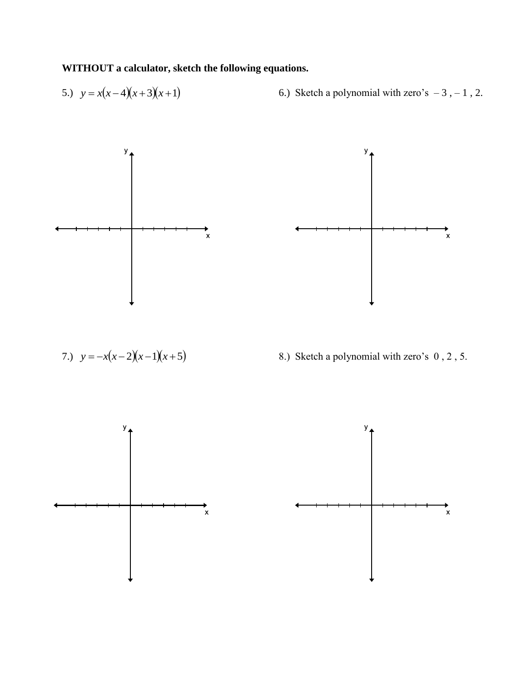**WITHOUT a calculator, sketch the following equations.**

5.) 
$$
y = x(x-4)(x+3)(x+1)
$$
 6.) Sketch a polynomial with zero's -3, -1, 2.





7.) 
$$
y = -x(x-2)(x-1)(x+5)
$$

8.) Sketch a polynomial with zero's 0, 2, 5.